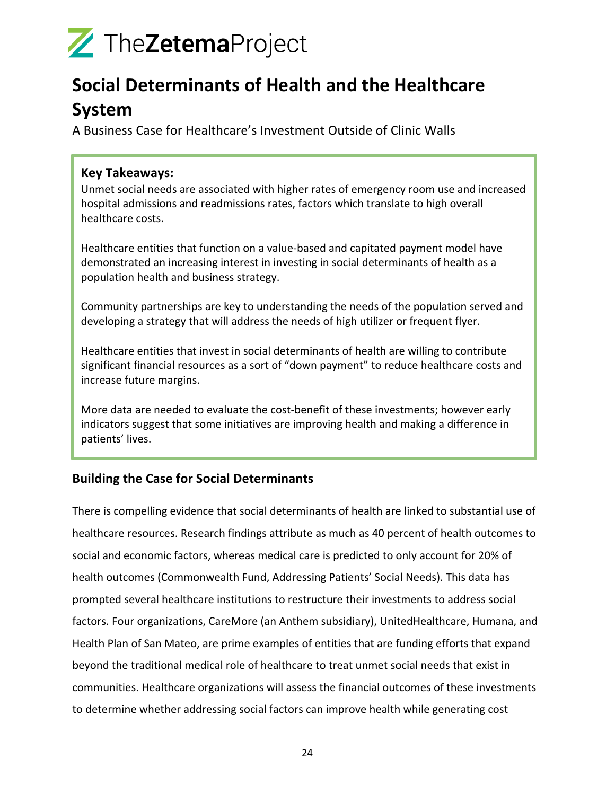### **Social Determinants of Health and the Healthcare System**

A Business Case for Healthcare's Investment Outside of Clinic Walls

#### **Key Takeaways:**

Unmet social needs are associated with higher rates of emergency room use and increased hospital admissions and readmissions rates, factors which translate to high overall healthcare costs.

Healthcare entities that function on a value-based and capitated payment model have demonstrated an increasing interest in investing in social determinants of health as a population health and business strategy.

Community partnerships are key to understanding the needs of the population served and developing a strategy that will address the needs of high utilizer or frequent flyer.

Healthcare entities that invest in social determinants of health are willing to contribute significant financial resources as a sort of "down payment" to reduce healthcare costs and increase future margins.

More data are needed to evaluate the cost-benefit of these investments; however early indicators suggest that some initiatives are improving health and making a difference in patients' lives.

#### **Building the Case for Social Determinants**

There is compelling evidence that social determinants of health are linked to substantial use of healthcare resources. Research findings attribute as much as 40 percent of health outcomes to social and economic factors, whereas medical care is predicted to only account for 20% of health outcomes (Commonwealth Fund, Addressing Patients' Social Needs). This data has prompted several healthcare institutions to restructure their investments to address social factors. Four organizations, CareMore (an Anthem subsidiary), UnitedHealthcare, Humana, and Health Plan of San Mateo, are prime examples of entities that are funding efforts that expand beyond the traditional medical role of healthcare to treat unmet social needs that exist in communities. Healthcare organizations will assess the financial outcomes of these investments to determine whether addressing social factors can improve health while generating cost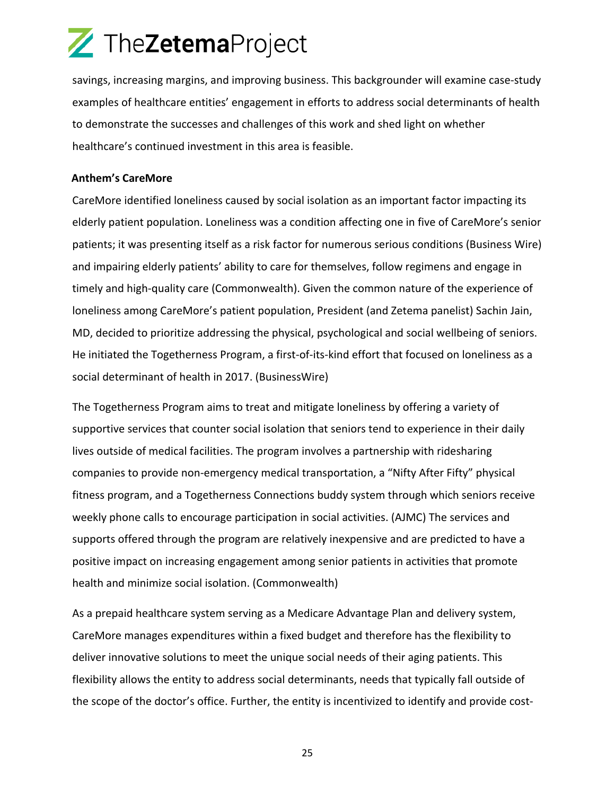savings, increasing margins, and improving business. This backgrounder will examine case-study examples of healthcare entities' engagement in efforts to address social determinants of health to demonstrate the successes and challenges of this work and shed light on whether healthcare's continued investment in this area is feasible.

#### **Anthem's CareMore**

CareMore identified loneliness caused by social isolation as an important factor impacting its elderly patient population. Loneliness was a condition affecting one in five of CareMore's senior patients; it was presenting itself as a risk factor for numerous serious conditions (Business Wire) and impairing elderly patients' ability to care for themselves, follow regimens and engage in timely and high-quality care (Commonwealth). Given the common nature of the experience of loneliness among CareMore's patient population, President (and Zetema panelist) Sachin Jain, MD, decided to prioritize addressing the physical, psychological and social wellbeing of seniors. He initiated the Togetherness Program, a first-of-its-kind effort that focused on loneliness as a social determinant of health in 2017. (BusinessWire)

The Togetherness Program aims to treat and mitigate loneliness by offering a variety of supportive services that counter social isolation that seniors tend to experience in their daily lives outside of medical facilities. The program involves a partnership with ridesharing companies to provide non-emergency medical transportation, a "Nifty After Fifty" physical fitness program, and a Togetherness Connections buddy system through which seniors receive weekly phone calls to encourage participation in social activities. (AJMC) The services and supports offered through the program are relatively inexpensive and are predicted to have a positive impact on increasing engagement among senior patients in activities that promote health and minimize social isolation. (Commonwealth)

As a prepaid healthcare system serving as a Medicare Advantage Plan and delivery system, CareMore manages expenditures within a fixed budget and therefore has the flexibility to deliver innovative solutions to meet the unique social needs of their aging patients. This flexibility allows the entity to address social determinants, needs that typically fall outside of the scope of the doctor's office. Further, the entity is incentivized to identify and provide cost-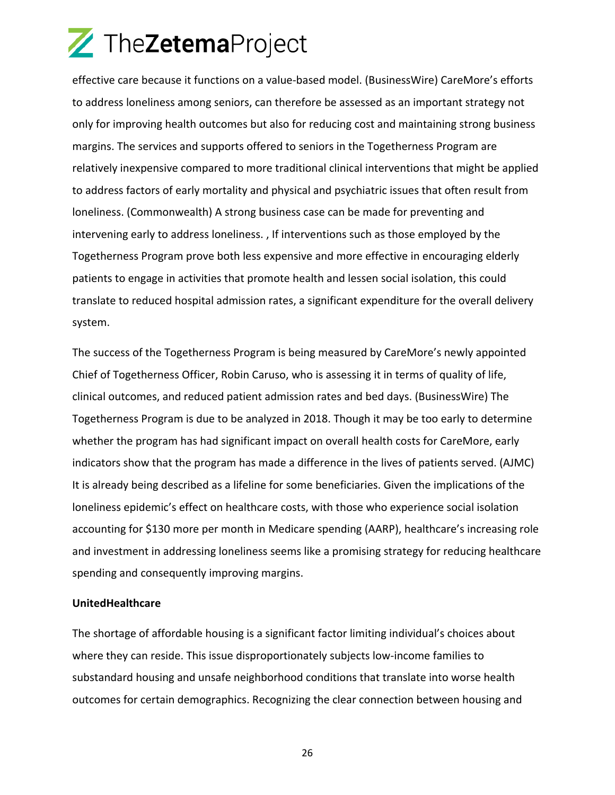effective care because it functions on a value-based model. (BusinessWire) CareMore's efforts to address loneliness among seniors, can therefore be assessed as an important strategy not only for improving health outcomes but also for reducing cost and maintaining strong business margins. The services and supports offered to seniors in the Togetherness Program are relatively inexpensive compared to more traditional clinical interventions that might be applied to address factors of early mortality and physical and psychiatric issues that often result from loneliness. (Commonwealth) A strong business case can be made for preventing and intervening early to address loneliness. , If interventions such as those employed by the Togetherness Program prove both less expensive and more effective in encouraging elderly patients to engage in activities that promote health and lessen social isolation, this could translate to reduced hospital admission rates, a significant expenditure for the overall delivery system.

The success of the Togetherness Program is being measured by CareMore's newly appointed Chief of Togetherness Officer, Robin Caruso, who is assessing it in terms of quality of life, clinical outcomes, and reduced patient admission rates and bed days. (BusinessWire) The Togetherness Program is due to be analyzed in 2018. Though it may be too early to determine whether the program has had significant impact on overall health costs for CareMore, early indicators show that the program has made a difference in the lives of patients served. (AJMC) It is already being described as a lifeline for some beneficiaries. Given the implications of the loneliness epidemic's effect on healthcare costs, with those who experience social isolation accounting for \$130 more per month in Medicare spending (AARP), healthcare's increasing role and investment in addressing loneliness seems like a promising strategy for reducing healthcare spending and consequently improving margins.

#### **UnitedHealthcare**

The shortage of affordable housing is a significant factor limiting individual's choices about where they can reside. This issue disproportionately subjects low-income families to substandard housing and unsafe neighborhood conditions that translate into worse health outcomes for certain demographics. Recognizing the clear connection between housing and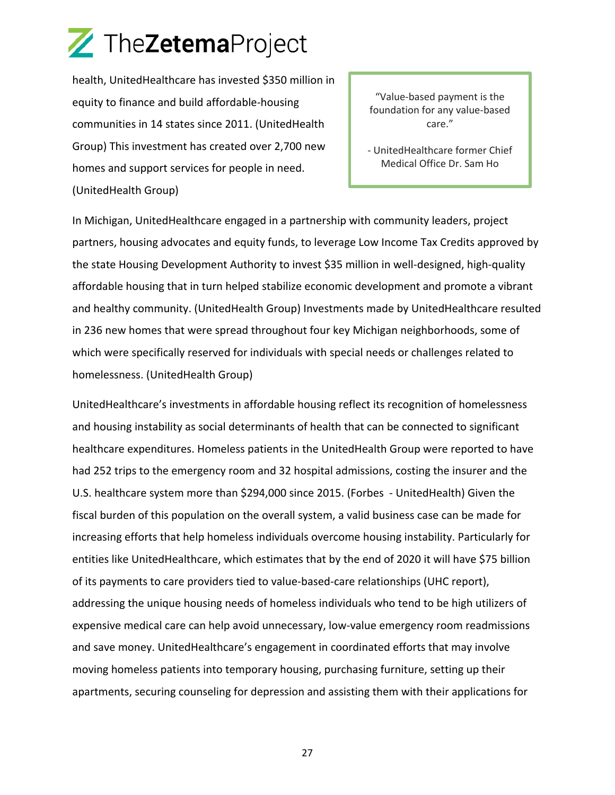health, UnitedHealthcare has invested \$350 million in equity to finance and build affordable-housing communities in 14 states since 2011. (UnitedHealth Group) This investment has created over 2,700 new homes and support services for people in need. (UnitedHealth Group)

"Value-based payment is the foundation for any value-based care."

- UnitedHealthcare former Chief Medical Office Dr. Sam Ho

In Michigan, UnitedHealthcare engaged in a partnership with community leaders, project partners, housing advocates and equity funds, to leverage Low Income Tax Credits approved by the state Housing Development Authority to invest \$35 million in well-designed, high-quality affordable housing that in turn helped stabilize economic development and promote a vibrant and healthy community. (UnitedHealth Group) Investments made by UnitedHealthcare resulted in 236 new homes that were spread throughout four key Michigan neighborhoods, some of which were specifically reserved for individuals with special needs or challenges related to homelessness. (UnitedHealth Group)

UnitedHealthcare's investments in affordable housing reflect its recognition of homelessness and housing instability as social determinants of health that can be connected to significant healthcare expenditures. Homeless patients in the UnitedHealth Group were reported to have had 252 trips to the emergency room and 32 hospital admissions, costing the insurer and the U.S. healthcare system more than \$294,000 since 2015. (Forbes - UnitedHealth) Given the fiscal burden of this population on the overall system, a valid business case can be made for increasing efforts that help homeless individuals overcome housing instability. Particularly for entities like UnitedHealthcare, which estimates that by the end of 2020 it will have \$75 billion of its payments to care providers tied to value-based-care relationships (UHC report), addressing the unique housing needs of homeless individuals who tend to be high utilizers of expensive medical care can help avoid unnecessary, low-value emergency room readmissions and save money. UnitedHealthcare's engagement in coordinated efforts that may involve moving homeless patients into temporary housing, purchasing furniture, setting up their apartments, securing counseling for depression and assisting them with their applications for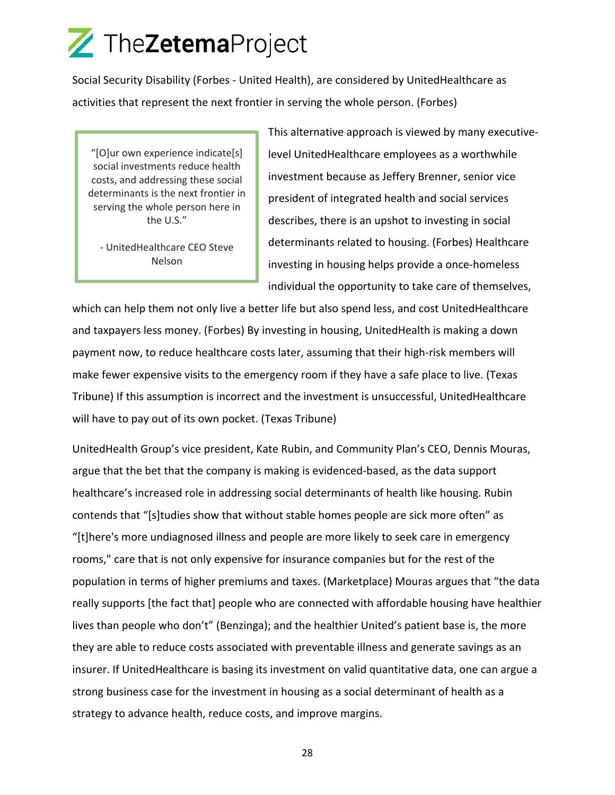Social Security Disability (Forbes - United Health), are considered by UnitedHealthcare as activities that represent the next frontier in serving the whole person. (Forbes)

"[O]ur own experience indicate[s] social investments reduce health costs, and addressing these social determinants is the next frontier in serving the whole person here in the U.S."

- UnitedHealthcare CEO Steve Nelson

This alternative approach is viewed by many executivelevel UnitedHealthcare employees as a worthwhile investment because as Jeffery Brenner, senior vice president of integrated health and social services describes, there is an upshot to investing in social determinants related to housing. (Forbes) Healthcare investing in housing helps provide a once-homeless individual the opportunity to take care of themselves,

which can help them not only live a better life but also spend less, and cost UnitedHealthcare and taxpayers less money. (Forbes) By investing in housing, UnitedHealth is making a down payment now, to reduce healthcare costs later, assuming that their high-risk members will make fewer expensive visits to the emergency room if they have a safe place to live. (Texas Tribune) If this assumption is incorrect and the investment is unsuccessful, UnitedHealthcare will have to pay out of its own pocket. (Texas Tribune)

UnitedHealth Group's vice president, Kate Rubin, and Community Plan's CEO, Dennis Mouras, argue that the bet that the company is making is evidenced-based, as the data support healthcare's increased role in addressing social determinants of health like housing. Rubin contends that "[s]tudies show that without stable homes people are sick more often" as "[t]here's more undiagnosed illness and people are more likely to seek care in emergency rooms," care that is not only expensive for insurance companies but for the rest of the population in terms of higher premiums and taxes. (Marketplace) Mouras argues that "the data really supports [the fact that] people who are connected with affordable housing have healthier lives than people who don't" (Benzinga); and the healthier United's patient base is, the more they are able to reduce costs associated with preventable illness and generate savings as an insurer. If UnitedHealthcare is basing its investment on valid quantitative data, one can argue a strong business case for the investment in housing as a social determinant of health as a strategy to advance health, reduce costs, and improve margins.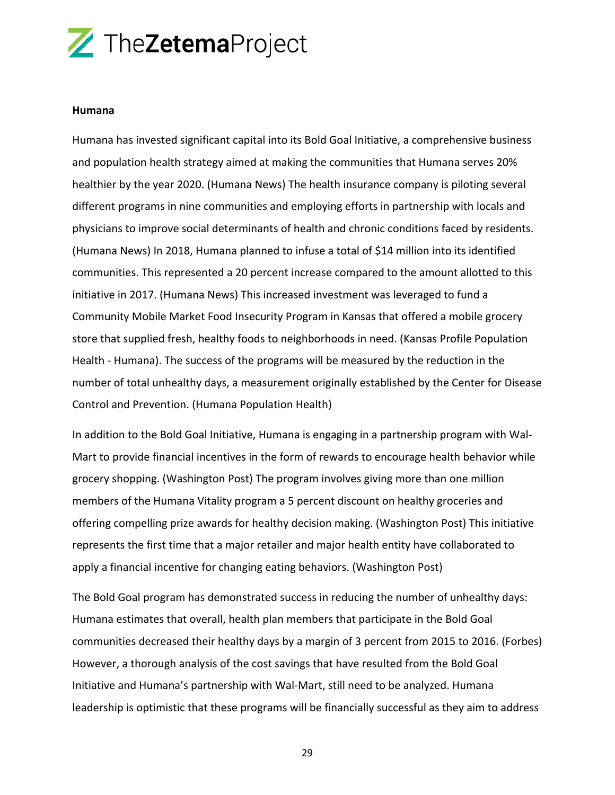#### **Humana**

Humana has invested significant capital into its Bold Goal Initiative, a comprehensive business and population health strategy aimed at making the communities that Humana serves 20% healthier by the year 2020. (Humana News) The health insurance company is piloting several different programs in nine communities and employing efforts in partnership with locals and physicians to improve social determinants of health and chronic conditions faced by residents. (Humana News) In 2018, Humana planned to infuse a total of \$14 million into its identified communities. This represented a 20 percent increase compared to the amount allotted to this initiative in 2017. (Humana News) This increased investment was leveraged to fund a Community Mobile Market Food Insecurity Program in Kansas that offered a mobile grocery store that supplied fresh, healthy foods to neighborhoods in need. (Kansas Profile Population Health - Humana). The success of the programs will be measured by the reduction in the number of total unhealthy days, a measurement originally established by the Center for Disease Control and Prevention. (Humana Population Health)

In addition to the Bold Goal Initiative, Humana is engaging in a partnership program with Wal-Mart to provide financial incentives in the form of rewards to encourage health behavior while grocery shopping. (Washington Post) The program involves giving more than one million members of the Humana Vitality program a 5 percent discount on healthy groceries and offering compelling prize awards for healthy decision making. (Washington Post) This initiative represents the first time that a major retailer and major health entity have collaborated to apply a financial incentive for changing eating behaviors. (Washington Post)

The Bold Goal program has demonstrated success in reducing the number of unhealthy days: Humana estimates that overall, health plan members that participate in the Bold Goal communities decreased their healthy days by a margin of 3 percent from 2015 to 2016. (Forbes) However, a thorough analysis of the cost savings that have resulted from the Bold Goal Initiative and Humana's partnership with Wal-Mart, still need to be analyzed. Humana leadership is optimistic that these programs will be financially successful as they aim to address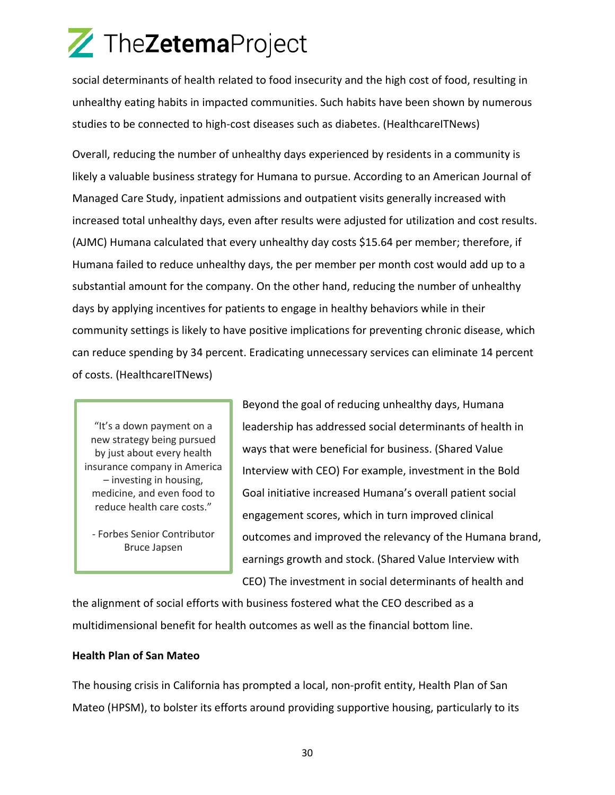social determinants of health related to food insecurity and the high cost of food, resulting in unhealthy eating habits in impacted communities. Such habits have been shown by numerous studies to be connected to high-cost diseases such as diabetes. (HealthcareITNews)

Overall, reducing the number of unhealthy days experienced by residents in a community is likely a valuable business strategy for Humana to pursue. According to an American Journal of Managed Care Study, inpatient admissions and outpatient visits generally increased with increased total unhealthy days, even after results were adjusted for utilization and cost results. (AJMC) Humana calculated that every unhealthy day costs \$15.64 per member; therefore, if Humana failed to reduce unhealthy days, the per member per month cost would add up to a substantial amount for the company. On the other hand, reducing the number of unhealthy days by applying incentives for patients to engage in healthy behaviors while in their community settings is likely to have positive implications for preventing chronic disease, which can reduce spending by 34 percent. Eradicating unnecessary services can eliminate 14 percent of costs. (HealthcareITNews)

"It's a down payment on a new strategy being pursued by just about every health insurance company in America – investing in housing, medicine, and even food to reduce health care costs."

- Forbes Senior Contributor Bruce Japsen

Beyond the goal of reducing unhealthy days, Humana leadership has addressed social determinants of health in ways that were beneficial for business. (Shared Value Interview with CEO) For example, investment in the Bold Goal initiative increased Humana's overall patient social engagement scores, which in turn improved clinical outcomes and improved the relevancy of the Humana brand, earnings growth and stock. (Shared Value Interview with CEO) The investment in social determinants of health and

the alignment of social efforts with business fostered what the CEO described as a multidimensional benefit for health outcomes as well as the financial bottom line.

#### **Health Plan of San Mateo**

The housing crisis in California has prompted a local, non-profit entity, Health Plan of San Mateo (HPSM), to bolster its efforts around providing supportive housing, particularly to its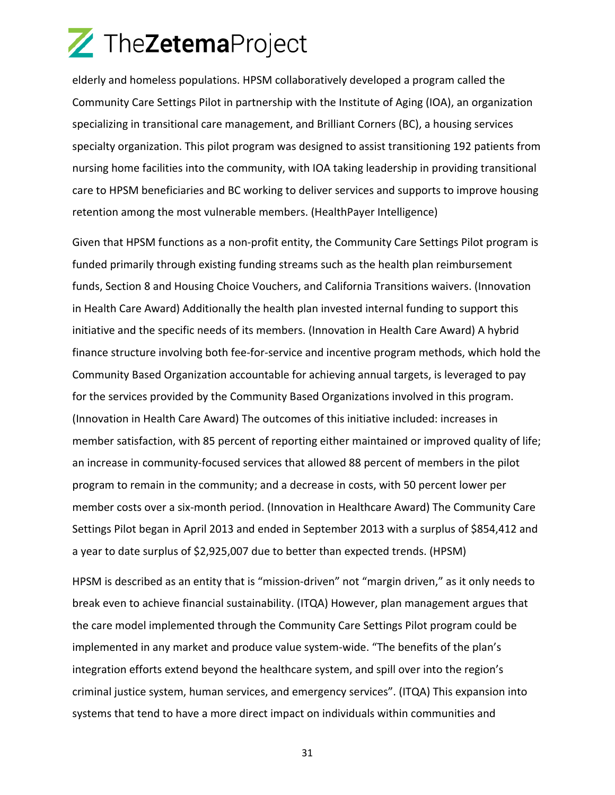elderly and homeless populations. HPSM collaboratively developed a program called the Community Care Settings Pilot in partnership with the Institute of Aging (IOA), an organization specializing in transitional care management, and Brilliant Corners (BC), a housing services specialty organization. This pilot program was designed to assist transitioning 192 patients from nursing home facilities into the community, with IOA taking leadership in providing transitional care to HPSM beneficiaries and BC working to deliver services and supports to improve housing retention among the most vulnerable members. (HealthPayer Intelligence)

Given that HPSM functions as a non-profit entity, the Community Care Settings Pilot program is funded primarily through existing funding streams such as the health plan reimbursement funds, Section 8 and Housing Choice Vouchers, and California Transitions waivers. (Innovation in Health Care Award) Additionally the health plan invested internal funding to support this initiative and the specific needs of its members. (Innovation in Health Care Award) A hybrid finance structure involving both fee-for-service and incentive program methods, which hold the Community Based Organization accountable for achieving annual targets, is leveraged to pay for the services provided by the Community Based Organizations involved in this program. (Innovation in Health Care Award) The outcomes of this initiative included: increases in member satisfaction, with 85 percent of reporting either maintained or improved quality of life; an increase in community-focused services that allowed 88 percent of members in the pilot program to remain in the community; and a decrease in costs, with 50 percent lower per member costs over a six-month period. (Innovation in Healthcare Award) The Community Care Settings Pilot began in April 2013 and ended in September 2013 with a surplus of \$854,412 and a year to date surplus of \$2,925,007 due to better than expected trends. (HPSM)

HPSM is described as an entity that is "mission-driven" not "margin driven," as it only needs to break even to achieve financial sustainability. (ITQA) However, plan management argues that the care model implemented through the Community Care Settings Pilot program could be implemented in any market and produce value system-wide. "The benefits of the plan's integration efforts extend beyond the healthcare system, and spill over into the region's criminal justice system, human services, and emergency services". (ITQA) This expansion into systems that tend to have a more direct impact on individuals within communities and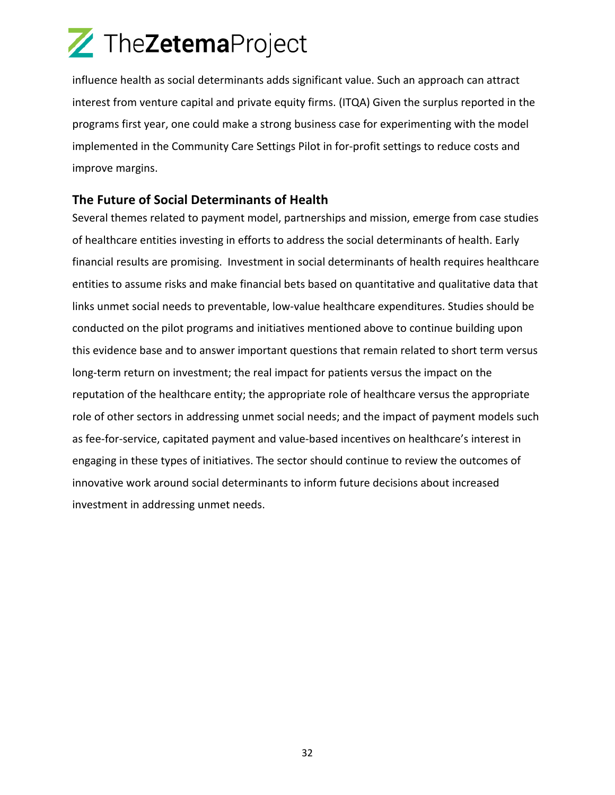influence health as social determinants adds significant value. Such an approach can attract interest from venture capital and private equity firms. (ITQA) Given the surplus reported in the programs first year, one could make a strong business case for experimenting with the model implemented in the Community Care Settings Pilot in for-profit settings to reduce costs and improve margins.

#### **The Future of Social Determinants of Health**

Several themes related to payment model, partnerships and mission, emerge from case studies of healthcare entities investing in efforts to address the social determinants of health. Early financial results are promising. Investment in social determinants of health requires healthcare entities to assume risks and make financial bets based on quantitative and qualitative data that links unmet social needs to preventable, low-value healthcare expenditures. Studies should be conducted on the pilot programs and initiatives mentioned above to continue building upon this evidence base and to answer important questions that remain related to short term versus long-term return on investment; the real impact for patients versus the impact on the reputation of the healthcare entity; the appropriate role of healthcare versus the appropriate role of other sectors in addressing unmet social needs; and the impact of payment models such as fee-for-service, capitated payment and value-based incentives on healthcare's interest in engaging in these types of initiatives. The sector should continue to review the outcomes of innovative work around social determinants to inform future decisions about increased investment in addressing unmet needs.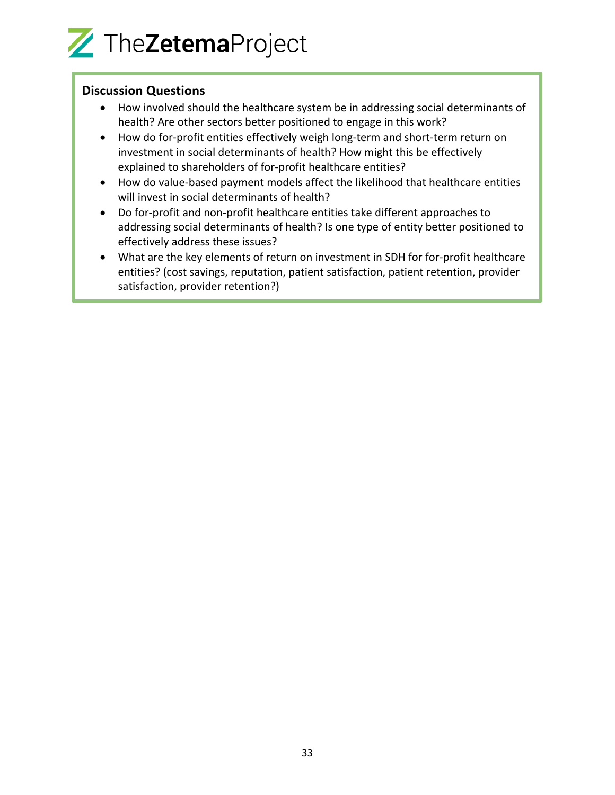#### **Discussion Questions**

- How involved should the healthcare system be in addressing social determinants of health? Are other sectors better positioned to engage in this work?
- How do for-profit entities effectively weigh long-term and short-term return on investment in social determinants of health? How might this be effectively explained to shareholders of for-profit healthcare entities?
- How do value-based payment models affect the likelihood that healthcare entities will invest in social determinants of health?
- Do for-profit and non-profit healthcare entities take different approaches to addressing social determinants of health? Is one type of entity better positioned to effectively address these issues?
- What are the key elements of return on investment in SDH for for-profit healthcare entities? (cost savings, reputation, patient satisfaction, patient retention, provider satisfaction, provider retention?)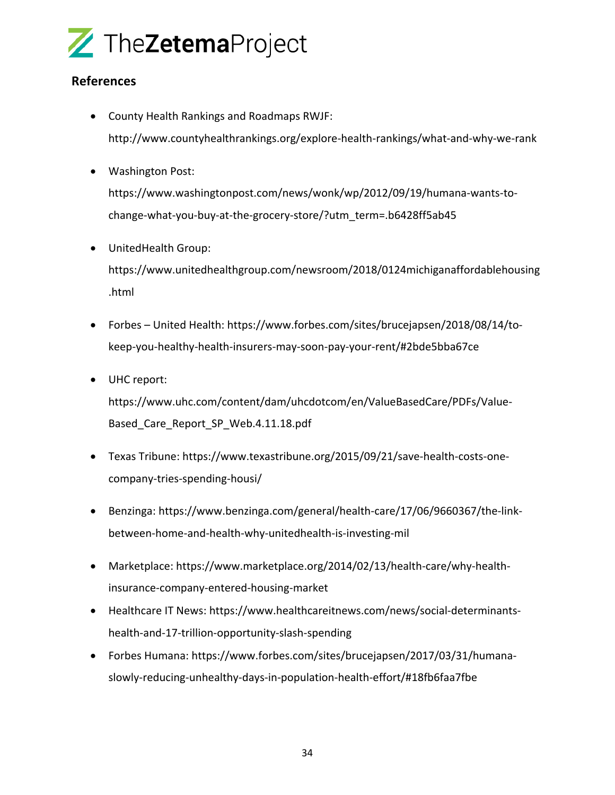

#### **References**

- County Health Rankings and Roadmaps RWJF: http://www.countyhealthrankings.org/explore-health-rankings/what-and-why-we-rank
- Washington Post:

https://www.washingtonpost.com/news/wonk/wp/2012/09/19/humana-wants-tochange-what-you-buy-at-the-grocery-store/?utm\_term=.b6428ff5ab45

- UnitedHealth Group: https://www.unitedhealthgroup.com/newsroom/2018/0124michiganaffordablehousing .html
- Forbes United Health: https://www.forbes.com/sites/brucejapsen/2018/08/14/tokeep-you-healthy-health-insurers-may-soon-pay-your-rent/#2bde5bba67ce
- UHC report:

https://www.uhc.com/content/dam/uhcdotcom/en/ValueBasedCare/PDFs/Value-Based\_Care\_Report\_SP\_Web.4.11.18.pdf

- Texas Tribune: https://www.texastribune.org/2015/09/21/save-health-costs-onecompany-tries-spending-housi/
- Benzinga: https://www.benzinga.com/general/health-care/17/06/9660367/the-linkbetween-home-and-health-why-unitedhealth-is-investing-mil
- Marketplace: https://www.marketplace.org/2014/02/13/health-care/why-healthinsurance-company-entered-housing-market
- Healthcare IT News: https://www.healthcareitnews.com/news/social-determinantshealth-and-17-trillion-opportunity-slash-spending
- Forbes Humana: https://www.forbes.com/sites/brucejapsen/2017/03/31/humanaslowly-reducing-unhealthy-days-in-population-health-effort/#18fb6faa7fbe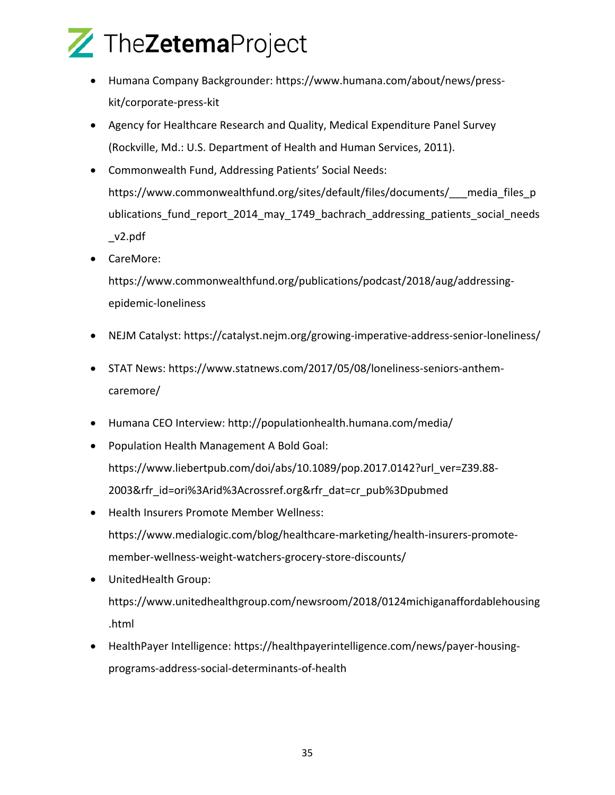

- Humana Company Backgrounder: https://www.humana.com/about/news/presskit/corporate-press-kit
- Agency for Healthcare Research and Quality, Medical Expenditure Panel Survey (Rockville, Md.: U.S. Department of Health and Human Services, 2011).
- Commonwealth Fund, Addressing Patients' Social Needs: https://www.commonwealthfund.org/sites/default/files/documents/ media files p ublications\_fund\_report\_2014\_may\_1749\_bachrach\_addressing\_patients\_social\_needs \_v2.pdf
- CareMore:

https://www.commonwealthfund.org/publications/podcast/2018/aug/addressingepidemic-loneliness

- NEJM Catalyst: https://catalyst.nejm.org/growing-imperative-address-senior-loneliness/
- STAT News: https://www.statnews.com/2017/05/08/loneliness-seniors-anthemcaremore/
- Humana CEO Interview: http://populationhealth.humana.com/media/
- Population Health Management A Bold Goal: https://www.liebertpub.com/doi/abs/10.1089/pop.2017.0142?url\_ver=Z39.88- 2003&rfr\_id=ori%3Arid%3Acrossref.org&rfr\_dat=cr\_pub%3Dpubmed
- Health Insurers Promote Member Wellness: https://www.medialogic.com/blog/healthcare-marketing/health-insurers-promotemember-wellness-weight-watchers-grocery-store-discounts/
- UnitedHealth Group: https://www.unitedhealthgroup.com/newsroom/2018/0124michiganaffordablehousing .html
- HealthPayer Intelligence: https://healthpayerintelligence.com/news/payer-housingprograms-address-social-determinants-of-health